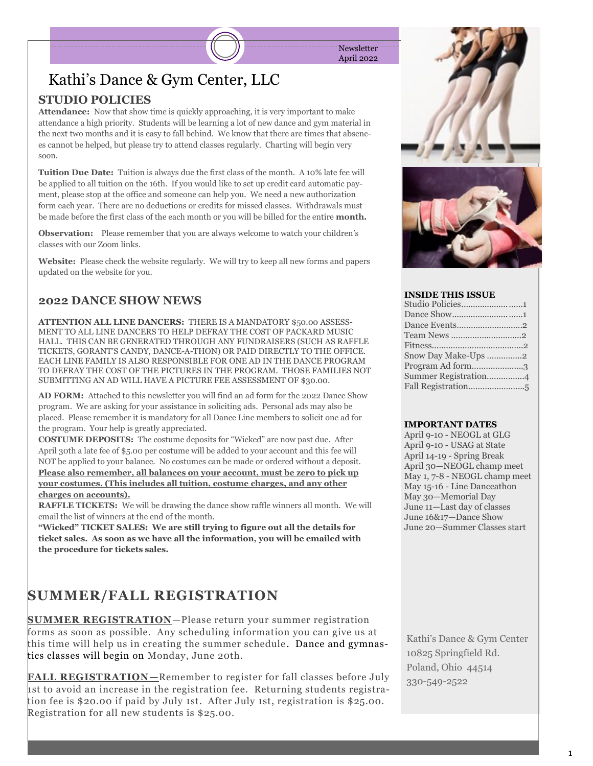**Newsletter** April 2022

## Kathi's Dance & Gym Center, LLC

### **STUDIO POLICIES**

**Attendance:** Now that show time is quickly approaching, it is very important to make attendance a high priority. Students will be learning a lot of new dance and gym material in the next two months and it is easy to fall behind. We know that there are times that absences cannot be helped, but please try to attend classes regularly. Charting will begin very soon.

**Tuition Due Date:** Tuition is always due the first class of the month. A 10% late fee will be applied to all tuition on the 16th. If you would like to set up credit card automatic payment, please stop at the office and someone can help you. We need a new authorization form each year. There are no deductions or credits for missed classes. Withdrawals must be made before the first class of the each month or you will be billed for the entire **month.**

**Observation:** Please remember that you are always welcome to watch your children's classes with our Zoom links.

**Website:** Please check the website regularly. We will try to keep all new forms and papers updated on the website for you.

#### **2022 DANCE SHOW NEWS**

**ATTENTION ALL LINE DANCERS:** THERE IS A MANDATORY \$50.00 ASSESS-MENT TO ALL LINE DANCERS TO HELP DEFRAY THE COST OF PACKARD MUSIC HALL. THIS CAN BE GENERATED THROUGH ANY FUNDRAISERS (SUCH AS RAFFLE TICKETS, GORANT'S CANDY, DANCE-A-THON) OR PAID DIRECTLY TO THE OFFICE. EACH LINE FAMILY IS ALSO RESPONSIBLE FOR ONE AD IN THE DANCE PROGRAM TO DEFRAY THE COST OF THE PICTURES IN THE PROGRAM. THOSE FAMILIES NOT SUBMITTING AN AD WILL HAVE A PICTURE FEE ASSESSMENT OF \$30.00.

**AD FORM:** Attached to this newsletter you will find an ad form for the 2022 Dance Show program. We are asking for your assistance in soliciting ads. Personal ads may also be placed. Please remember it is mandatory for all Dance Line members to solicit one ad for the program. Your help is greatly appreciated.

**COSTUME DEPOSITS:** The costume deposits for "Wicked" are now past due. After April 30th a late fee of \$5.00 per costume will be added to your account and this fee will NOT be applied to your balance. No costumes can be made or ordered without a deposit. **Please also remember, all balances on your account, must be zero to pick up your costumes. (This includes all tuition, costume charges, and any other charges on accounts).** 

**RAFFLE TICKETS:** We will be drawing the dance show raffle winners all month. We will email the list of winners at the end of the month.

**"Wicked" TICKET SALES: We are still trying to figure out all the details for ticket sales. As soon as we have all the information, you will be emailed with the procedure for tickets sales.** 

## **SUMMER/FALL REGISTRATION**

**SUMMER REGISTRATION**—Please return your summer registration forms as soon as possible. Any scheduling information you can give us at this time will help us in creating the summer schedule. Dance and gymnastics classes will begin on Monday, June 20th.

**FALL REGISTRATION—**Remember to register for fall classes before July 1st to avoid an increase in the registration fee. Returning students registration fee is \$20.00 if paid by July 1st. After July 1st, registration is \$25.00. Registration for all new students is \$25.00.





#### **INSIDE THIS ISSUE**

| Dance Events2        |
|----------------------|
| Team News 2          |
|                      |
| Snow Day Make-Ups 2  |
| Program Ad form3     |
| Summer Registration4 |
|                      |
|                      |

#### **IMPORTANT DATES**

April 9-10 - NEOGL at GLG April 9-10 - USAG at State April 14-19 - Spring Break April 30—NEOGL champ meet May 1, 7-8 - NEOGL champ meet May 15-16 - Line Danceathon May 30—Memorial Day June 11—Last day of classes June 16&17—Dance Show June 20—Summer Classes start

Kathi's Dance & Gym Center 10825 Springfield Rd. Poland, Ohio 44514 330-549-2522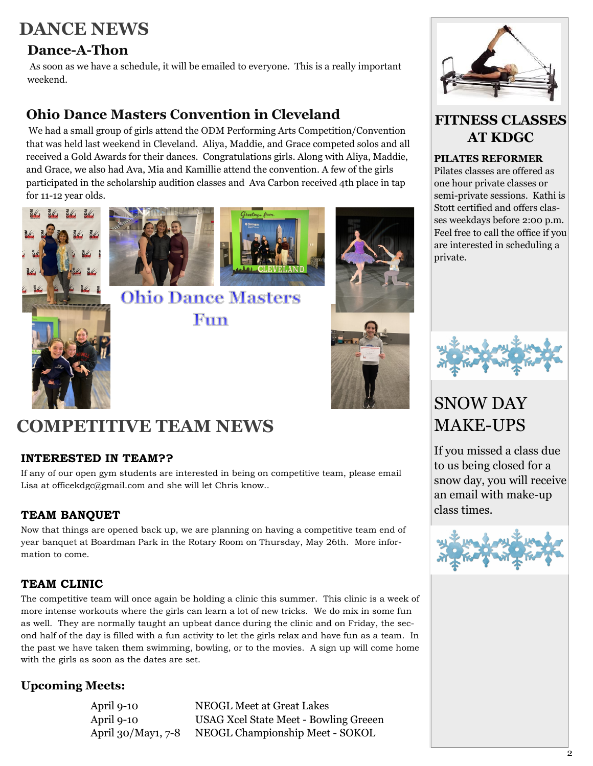## **DANCE NEWS**

### **Dance-A-Thon**

As soon as we have a schedule, it will be emailed to everyone. This is a really important weekend.

## **Ohio Dance Masters Convention in Cleveland**

We had a small group of girls attend the ODM Performing Arts Competition/Convention that was held last weekend in Cleveland. Aliya, Maddie, and Grace competed solos and all received a Gold Awards for their dances. Congratulations girls. Along with Aliya, Maddie, and Grace, we also had Ava, Mia and Kamillie attend the convention. A few of the girls participated in the scholarship audition classes and Ava Carbon received 4th place in tap for 11-12 year olds.







Fun

**Ohio Dance Masters** 







### **FITNESS CLASSES AT KDGC**

#### **PILATES REFORMER**

Pilates classes are offered as one hour private classes or semi-private sessions. Kathi is Stott certified and offers classes weekdays before 2:00 p.m. Feel free to call the office if you are interested in scheduling a private.



## SNOW DAY MAKE-UPS

If you missed a class due to us being closed for a snow day, you will receive an email with make-up class times.



# **COMPETITIVE TEAM NEWS**

#### **INTERESTED IN TEAM??**

If any of our open gym students are interested in being on competitive team, please email Lisa at officekdgc@gmail.com and she will let Chris know..

### **TEAM BANQUET**

Now that things are opened back up, we are planning on having a competitive team end of year banquet at Boardman Park in the Rotary Room on Thursday, May 26th. More information to come.

### **TEAM CLINIC**

The competitive team will once again be holding a clinic this summer. This clinic is a week of more intense workouts where the girls can learn a lot of new tricks. We do mix in some fun as well. They are normally taught an upbeat dance during the clinic and on Friday, the second half of the day is filled with a fun activity to let the girls relax and have fun as a team. In the past we have taken them swimming, bowling, or to the movies. A sign up will come home with the girls as soon as the dates are set.

### **Upcoming Meets:**

April 9-10 NEOGL Meet at Great Lakes April 9-10 USAG Xcel State Meet - Bowling Greeen April 30/May1, 7-8 NEOGL Championship Meet - SOKOL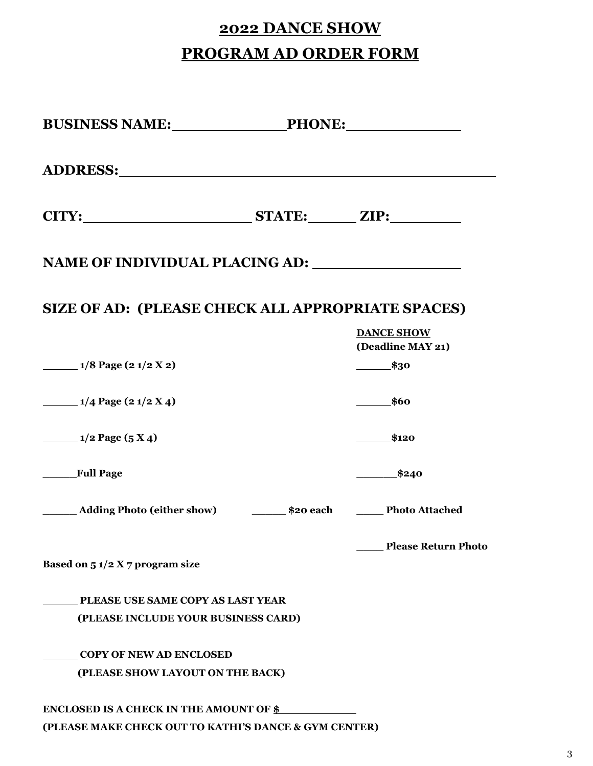# **2022 DANCE SHOW PROGRAM AD ORDER FORM**

| SIZE OF AD: (PLEASE CHECK ALL APPROPRIATE SPACES)                                |                                        |
|----------------------------------------------------------------------------------|----------------------------------------|
|                                                                                  | <b>DANCE SHOW</b><br>(Deadline MAY 21) |
| $\frac{1}{8}$ Page (2 1/2 X 2)                                                   | $\equiv$ \$30                          |
| $\frac{1}{4}$ Page (2 1/2 X 4)                                                   | $\frac{\ }{1}$ \$60                    |
| $\frac{1}{2}$ Page (5 X 4)                                                       | \$120                                  |
| Full Page                                                                        | \$240                                  |
| _______ Adding Photo (either show) ___________ \$20 each ________ Photo Attached |                                        |
| Based on $51/2 X 7$ program size                                                 | <b>Please Return Photo</b>             |
| PLEASE USE SAME COPY AS LAST YEAR                                                |                                        |
| (PLEASE INCLUDE YOUR BUSINESS CARD)                                              |                                        |
| <b>COPY OF NEW AD ENCLOSED</b>                                                   |                                        |
| (PLEASE SHOW LAYOUT ON THE BACK)                                                 |                                        |
| <b>ENCLOSED IS A CHECK IN THE AMOUNT OF \$</b>                                   |                                        |
| (PLEASE MAKE CHECK OUT TO KATHI'S DANCE & GYM CENTER)                            |                                        |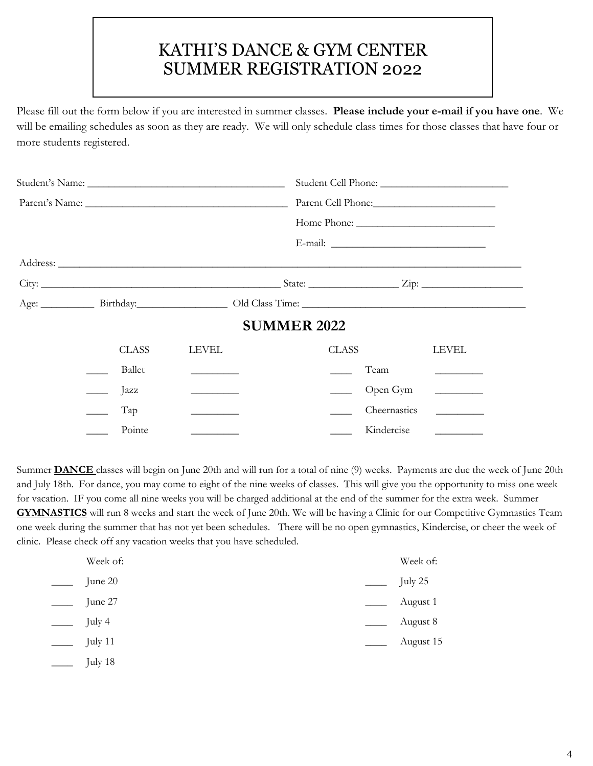## KATHI'S DANCE & GYM CENTER SUMMER REGISTRATION 2022

Please fill out the form below if you are interested in summer classes. **Please include your e-mail if you have one**. We will be emailing schedules as soon as they are ready. We will only schedule class times for those classes that have four or more students registered.

|  |              | Parent Cell Phone:                        |                    |              |                                                                                                                       |
|--|--------------|-------------------------------------------|--------------------|--------------|-----------------------------------------------------------------------------------------------------------------------|
|  |              |                                           |                    |              |                                                                                                                       |
|  |              |                                           |                    |              |                                                                                                                       |
|  |              |                                           |                    |              |                                                                                                                       |
|  |              |                                           |                    |              |                                                                                                                       |
|  |              |                                           |                    |              |                                                                                                                       |
|  |              |                                           | <b>SUMMER 2022</b> |              |                                                                                                                       |
|  | <b>CLASS</b> | LEVEL                                     |                    | <b>CLASS</b> | <b>LEVEL</b>                                                                                                          |
|  | Ballet       |                                           |                    | Team         |                                                                                                                       |
|  | Jazz         | <u>experience</u> and the second state of |                    | Open Gym     | <u> Alexandria de la pro</u>                                                                                          |
|  | Tap          | <u> Alexandria de la conte</u>            |                    | Cheernastics | <u> 1999 - Jan Sterling Sterling Sterling Sterling Sterling Sterling Sterling Sterling Sterling Sterling Sterling</u> |
|  | Pointe       |                                           |                    | Kindercise   | $\sim$ 100 $\sim$ 100 $\sim$                                                                                          |

Summer **DANCE** classes will begin on June 20th and will run for a total of nine (9) weeks. Payments are due the week of June 20th and July 18th. For dance, you may come to eight of the nine weeks of classes. This will give you the opportunity to miss one week for vacation. IF you come all nine weeks you will be charged additional at the end of the summer for the extra week. Summer **GYMNASTICS** will run 8 weeks and start the week of June 20th. We will be having a Clinic for our Competitive Gymnastics Team one week during the summer that has not yet been schedules. There will be no open gymnastics, Kindercise, or cheer the week of clinic. Please check off any vacation weeks that you have scheduled.

| Week of: | Week of:  |
|----------|-----------|
| June 20  | July 25   |
| June 27  | August 1  |
| July 4   | August 8  |
| July 11  | August 15 |
| July 18  |           |